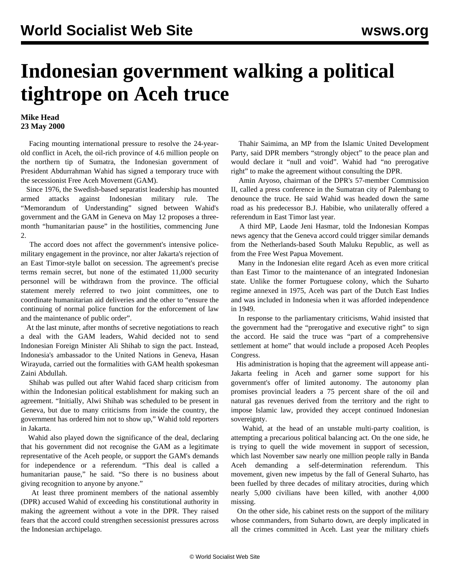## **Indonesian government walking a political tightrope on Aceh truce**

## **Mike Head 23 May 2000**

 Facing mounting international pressure to resolve the 24-yearold conflict in Aceh, the oil-rich province of 4.6 million people on the northern tip of Sumatra, the Indonesian government of President Abdurrahman Wahid has signed a temporary truce with the secessionist Free Aceh Movement (GAM).

 Since 1976, the Swedish-based separatist leadership has mounted armed attacks against Indonesian military rule. The "Memorandum of Understanding" signed between Wahid's government and the GAM in Geneva on May 12 proposes a threemonth "humanitarian pause" in the hostilities, commencing June 2.

 The accord does not affect the government's intensive policemilitary engagement in the province, nor alter Jakarta's rejection of an East Timor-style ballot on secession. The agreement's precise terms remain secret, but none of the estimated 11,000 security personnel will be withdrawn from the province. The official statement merely referred to two joint committees, one to coordinate humanitarian aid deliveries and the other to "ensure the continuing of normal police function for the enforcement of law and the maintenance of public order".

 At the last minute, after months of secretive negotiations to reach a deal with the GAM leaders, Wahid decided not to send Indonesian Foreign Minister Ali Shihab to sign the pact. Instead, Indonesia's ambassador to the United Nations in Geneva, Hasan Wirayuda, carried out the formalities with GAM health spokesman Zaini Abdullah.

 Shihab was pulled out after Wahid faced sharp criticism from within the Indonesian political establishment for making such an agreement. "Initially, Alwi Shihab was scheduled to be present in Geneva, but due to many criticisms from inside the country, the government has ordered him not to show up," Wahid told reporters in Jakarta.

 Wahid also played down the significance of the deal, declaring that his government did not recognise the GAM as a legitimate representative of the Aceh people, or support the GAM's demands for independence or a referendum. "This deal is called a humanitarian pause," he said. "So there is no business about giving recognition to anyone by anyone."

 At least three prominent members of the national assembly (DPR) accused Wahid of exceeding his constitutional authority in making the agreement without a vote in the DPR. They raised fears that the accord could strengthen secessionist pressures across the Indonesian archipelago.

 Thahir Saimima, an MP from the Islamic United Development Party, said DPR members "strongly object" to the peace plan and would declare it "null and void". Wahid had "no prerogative right" to make the agreement without consulting the DPR.

 Amin Aryoso, chairman of the DPR's 57-member Commission II, called a press conference in the Sumatran city of Palembang to denounce the truce. He said Wahid was headed down the same road as his predecessor B.J. Habibie, who unilaterally offered a referendum in East Timor last year.

 A third MP, Laode Jeni Hasmar, told the Indonesian Kompas news agency that the Geneva accord could trigger similar demands from the Netherlands-based South Maluku Republic, as well as from the Free West Papua Movement.

 Many in the Indonesian elite regard Aceh as even more critical than East Timor to the maintenance of an integrated Indonesian state. Unlike the former Portuguese colony, which the Suharto regime annexed in 1975, Aceh was part of the Dutch East Indies and was included in Indonesia when it was afforded independence in 1949.

 In response to the parliamentary criticisms, Wahid insisted that the government had the "prerogative and executive right" to sign the accord. He said the truce was "part of a comprehensive settlement at home" that would include a proposed Aceh Peoples Congress.

 His administration is hoping that the agreement will appease anti-Jakarta feeling in Aceh and garner some support for his government's offer of limited autonomy. The autonomy plan promises provincial leaders a 75 percent share of the oil and natural gas revenues derived from the territory and the right to impose Islamic law, provided they accept continued Indonesian sovereignty.

 Wahid, at the head of an unstable multi-party coalition, is attempting a precarious political balancing act. On the one side, he is trying to quell the wide movement in support of secession, which last November saw nearly one million people rally in Banda Aceh demanding a self-determination referendum. This movement, given new impetus by the fall of General Suharto, has been fuelled by three decades of military atrocities, during which nearly 5,000 civilians have been killed, with another 4,000 missing.

 On the other side, his cabinet rests on the support of the military whose commanders, from Suharto down, are deeply implicated in all the crimes committed in Aceh. Last year the military chiefs